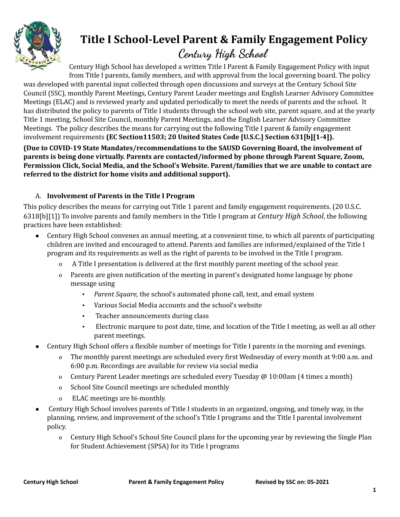

# **Title I School-Level Parent & Family Engagement Policy**

## **Century High School**

Century High School has developed a written Title I Parent & Family Engagement Policy with input from Title I parents, family members, and with approval from the local governing board. The policy was developed with parental input collected through open discussions and surveys at the Century School Site Council (SSC), monthly Parent Meetings, Century Parent Leader meetings and English Learner Advisory Committee Meetings (ELAC) and is reviewed yearly and updated periodically to meet the needs of parents and the school. It has distributed the policy to parents of Title I students through the school web site, parent square, and at the yearly Title 1 meeting, School Site Council, monthly Parent Meetings, and the English Learner Advisory Committee Meetings. The policy describes the means for carrying out the following Title I parent & family engagement involvement requirements **(EC Section11503; 20 United States Code [U.S.C.] Section 631[b][1-4]).**

**(Due to COVID-19 State Mandates/recommendations to the SAUSD Governing Board, the involvement of parents is being done virtually. Parents are contacted/informed by phone through Parent Square, Zoom, Permission Click, Social Media, and the School's Website. Parent/families that we are unable to contact are referred to the district for home visits and additional support).**

### A. **Involvement of Parents in the Title I Program**

This policy describes the means for carrying out Title 1 parent and family engagement requirements. (20 U.S.C. 6318[b][1]) To involve parents and family members in the Title I program at *Century High School*, the following practices have been established:

- Century High School convenes an annual meeting, at a convenient time, to which all parents of participating children are invited and encouraged to attend. Parents and families are informed/explained of the Title I program and its requirements as well as the right of parents to be involved in the Title I program.
	- o A Title I presentation is delivered at the first monthly parent meeting of the school year.
	- o Parents are given notification of the meeting in parent's designated home language by phone message using
		- *Parent Square,* the school's automated phone call, text, and email system
		- Various Social Media accounts and the school's website
		- Teacher announcements during class
		- Electronic marquee to post date, time, and location of the Title I meeting, as well as all other parent meetings.
- Century High School offers a flexible number of meetings for Title I parents in the morning and evenings.
	- o The monthly parent meetings are scheduled every first Wednesday of every month at 9:00 a.m. and 6:00 p.m. Recordings are available for review via social media
	- o Century Parent Leader meetings are scheduled every Tuesday @ 10:00am (4 times a month)
	- o School Site Council meetings are scheduled monthly
	- o ELAC meetings are bi-monthly.
- Century High School involves parents of Title I students in an organized, ongoing, and timely way, in the planning, review, and improvement of the school's Title I programs and the Title I parental involvement policy.
	- o Century High School's School Site Council plans for the upcoming year by reviewing the Single Plan for Student Achievement (SPSA) for its Title I programs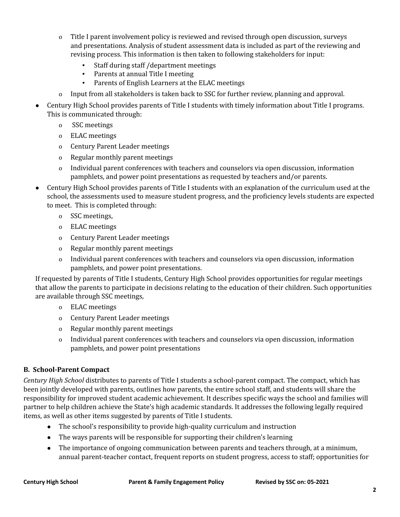- o Title I parent involvement policy is reviewed and revised through open discussion, surveys and presentations. Analysis of student assessment data is included as part of the reviewing and revising process. This information is then taken to following stakeholders for input:
	- Staff during staff /department meetings
	- Parents at annual Title I meeting
	- Parents of English Learners at the ELAC meetings
- o Input from all stakeholders is taken back to SSC for further review, planning and approval.
- Century High School provides parents of Title I students with timely information about Title I programs. This is communicated through:
	- o SSC meetings
	- o ELAC meetings
	- o Century Parent Leader meetings
	- o Regular monthly parent meetings
	- o Individual parent conferences with teachers and counselors via open discussion, information pamphlets, and power point presentations as requested by teachers and/or parents.
- Century High School provides parents of Title I students with an explanation of the curriculum used at the school, the assessments used to measure student progress, and the proficiency levels students are expected to meet. This is completed through:
	- o SSC meetings,
	- o ELAC meetings
	- o Century Parent Leader meetings
	- o Regular monthly parent meetings
	- o Individual parent conferences with teachers and counselors via open discussion, information pamphlets, and power point presentations.

If requested by parents of Title I students, Century High School provides opportunities for regular meetings that allow the parents to participate in decisions relating to the education of their children. Such opportunities are available through SSC meetings,

- o ELAC meetings
- o Century Parent Leader meetings
- o Regular monthly parent meetings
- o Individual parent conferences with teachers and counselors via open discussion, information pamphlets, and power point presentations

### **B. School-Parent Compact**

*Century High School* distributes to parents of Title I students a school-parent compact. The compact, which has been jointly developed with parents, outlines how parents, the entire school staff, and students will share the responsibility for improved student academic achievement. It describes specific ways the school and families will partner to help children achieve the State's high academic standards. It addresses the following legally required items, as well as other items suggested by parents of Title I students.

- The school's responsibility to provide high-quality curriculum and instruction
- The ways parents will be responsible for supporting their children's learning
- The importance of ongoing communication between parents and teachers through, at a minimum, annual parent-teacher contact, frequent reports on student progress, access to staff; opportunities for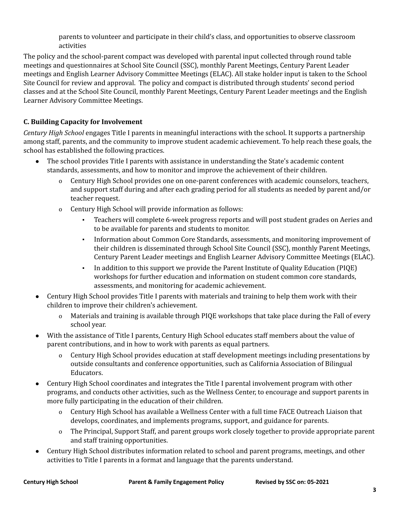parents to volunteer and participate in their child's class, and opportunities to observe classroom activities

The policy and the school-parent compact was developed with parental input collected through round table meetings and questionnaires at School Site Council (SSC), monthly Parent Meetings, Century Parent Leader meetings and English Learner Advisory Committee Meetings (ELAC). All stake holder input is taken to the School Site Council for review and approval. The policy and compact is distributed through students' second period classes and at the School Site Council, monthly Parent Meetings, Century Parent Leader meetings and the English Learner Advisory Committee Meetings.

### **C. Building Capacity for Involvement**

*Century High School* engages Title I parents in meaningful interactions with the school. It supports a partnership among staff, parents, and the community to improve student academic achievement. To help reach these goals, the school has established the following practices.

- The school provides Title I parents with assistance in understanding the State's academic content standards, assessments, and how to monitor and improve the achievement of their children.
	- o Century High School provides one on one-parent conferences with academic counselors, teachers, and support staff during and after each grading period for all students as needed by parent and/or teacher request.
	- o Century High School will provide information as follows:
		- Teachers will complete 6-week progress reports and will post student grades on Aeries and to be available for parents and students to monitor.
		- Information about Common Core Standards, assessments, and monitoring improvement of their children is disseminated through School Site Council (SSC), monthly Parent Meetings, Century Parent Leader meetings and English Learner Advisory Committee Meetings (ELAC).
		- In addition to this support we provide the Parent Institute of Quality Education (PIQE) workshops for further education and information on student common core standards, assessments, and monitoring for academic achievement.
- Century High School provides Title I parents with materials and training to help them work with their children to improve their children's achievement.
	- o Materials and training is available through PIQE workshops that take place during the Fall of every school year.
- With the assistance of Title I parents, Century High School educates staff members about the value of parent contributions, and in how to work with parents as equal partners.
	- o Century High School provides education at staff development meetings including presentations by outside consultants and conference opportunities, such as California Association of Bilingual Educators.
- Century High School coordinates and integrates the Title I parental involvement program with other programs, and conducts other activities, such as the Wellness Center, to encourage and support parents in more fully participating in the education of their children.
	- o Century High School has available a Wellness Center with a full time FACE Outreach Liaison that develops, coordinates, and implements programs, support, and guidance for parents.
	- o The Principal, Support Staff, and parent groups work closely together to provide appropriate parent and staff training opportunities.
- Century High School distributes information related to school and parent programs, meetings, and other activities to Title I parents in a format and language that the parents understand.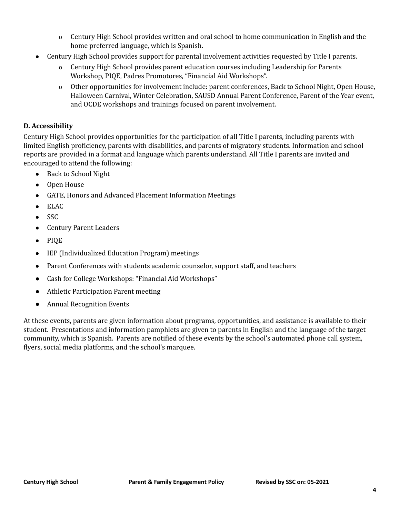- o Century High School provides written and oral school to home communication in English and the home preferred language, which is Spanish.
- Century High School provides support for parental involvement activities requested by Title I parents.
	- o Century High School provides parent education courses including Leadership for Parents Workshop, PIQE, Padres Promotores, "Financial Aid Workshops".
	- o Other opportunities for involvement include: parent conferences, Back to School Night, Open House, Halloween Carnival, Winter Celebration, SAUSD Annual Parent Conference, Parent of the Year event, and OCDE workshops and trainings focused on parent involvement.

### **D. Accessibility**

Century High School provides opportunities for the participation of all Title I parents, including parents with limited English proficiency, parents with disabilities, and parents of migratory students. Information and school reports are provided in a format and language which parents understand. All Title I parents are invited and encouraged to attend the following:

- Back to School Night
- Open House
- GATE, Honors and Advanced Placement Information Meetings
- ELAC
- SSC
- Century Parent Leaders
- PIQE
- IEP (Individualized Education Program) meetings
- Parent Conferences with students academic counselor, support staff, and teachers
- Cash for College Workshops: "Financial Aid Workshops"
- Athletic Participation Parent meeting
- Annual Recognition Events

At these events, parents are given information about programs, opportunities, and assistance is available to their student. Presentations and information pamphlets are given to parents in English and the language of the target community, which is Spanish. Parents are notified of these events by the school's automated phone call system, flyers, social media platforms, and the school's marquee.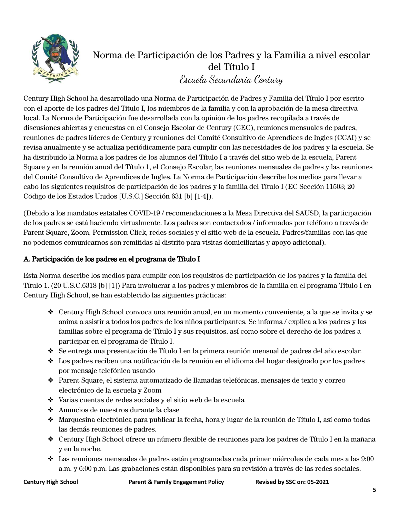

### Norma de Participación de los Padres y la Familia a nivel escolar del Título I Escuela Secundaria Century

Century High School ha desarrollado una Norma de Participación de Padres y Familia del Título I por escrito con el aporte de los padres del Título I, los miembros de la familia y con la aprobación de la mesa directiva local. La Norma de Participación fue desarrollada con la opinión de los padres recopilada a través de discusiones abiertas y encuestas en el Consejo Escolar de Century (CEC), reuniones mensuales de padres, reuniones de padres líderes de Century y reuniones del Comité Consultivo de Aprendices de Ingles (CCAI) y se revisa anualmente y se actualiza periódicamente para cumplir con las necesidades de los padres y la escuela. Se ha distribuido la Norma a los padres de los alumnos del Título I a través del sitio web de la escuela, Parent Square y en la reunión anual del Título 1, el Consejo Escolar, las reuniones mensuales de padres y las reuniones del Comité Consultivo de Aprendices de Ingles. La Norma de Participación describe los medios para llevar a cabo los siguientes requisitos de participación de los padres y la familia del Título I (EC Sección 11503; 20 Código de los Estados Unidos [U.S.C.] Sección 631 [b] [1-4]).

(Debido a los mandatos estatales COVID-19 / recomendaciones a la Mesa Directiva del SAUSD, la participación de los padres se está haciendo virtualmente. Los padres son contactados / informados por teléfono a través de Parent Square, Zoom, Permission Click, redes sociales y el sitio web de la escuela. Padres/familias con las que no podemos comunicarnos son remitidas al distrito para visitas domiciliarias y apoyo adicional).

### A. Participación de los padres en el programa de Título I

Esta Norma describe los medios para cumplir con los requisitos de participación de los padres y la familia del Título 1. (20 U.S.C.6318 [b] [1]) Para involucrar a los padres y miembros de la familia en el programa Título I en Century High School, se han establecido las siguientes prácticas:

- ❖ Century High School convoca una reunión anual, en un momento conveniente, a la que se invita y se anima a asistir a todos los padres de los niños participantes. Se informa / explica a los padres y las familias sobre el programa de Título I y sus requisitos, así como sobre el derecho de los padres a participar en el programa de Título I.
- ❖ Se entrega una presentación de Título I en la primera reunión mensual de padres del año escolar.
- ❖ Los padres reciben una notificación de la reunión en el idioma del hogar designado por los padres por mensaje telefónico usando
- ❖ Parent Square, el sistema automatizado de llamadas telefónicas, mensajes de texto y correo electrónico de la escuela y Zoom
- ❖ Varias cuentas de redes sociales y el sitio web de la escuela
- ❖ Anuncios de maestros durante la clase
- ❖ Marquesina electrónica para publicar la fecha, hora y lugar de la reunión de Título I, así como todas las demás reuniones de padres.
- ❖ Century High School ofrece un número flexible de reuniones para los padres de Título I en la mañana y en la noche.
- ❖ Las reuniones mensuales de padres están programadas cada primer miércoles de cada mes a las 9:00 a.m. y 6:00 p.m. Las grabaciones están disponibles para su revisión a través de las redes sociales.

**Century High School Parent & Family Engagement Policy Revised by SSC on: 05-2021**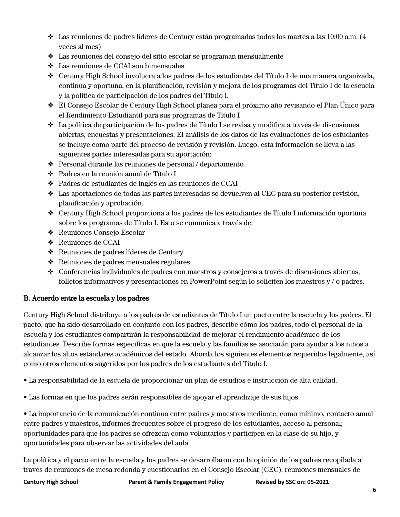- $\triangle$  Las reuniones de padres líderes de Century están programadas todos los martes a las 10:00 a.m. (4) veces al mes)
- ❖ Las reuniones del consejo del sitio escolar se programan mensualmente
- ❖ Las reuniones de CCAI son bimensuales.
- ❖ Century High School involucra a los padres de los estudiantes del Título I de una manera organizada, continua y oportuna, en la planificación, revisión y mejora de los programas del Título I de la escuela y la política de participación de los padres del Título I.
- ❖ El Consejo Escolar de Century High School planea para el próximo año revisando el Plan Único para el Rendimiento Estudiantil para sus programas de Título I
- ❖ La política de participación de los padres de Título I se revisa y modifica a través de discusiones abiertas, encuestas y presentaciones. El análisis de los datos de las evaluaciones de los estudiantes se incluye como parte del proceso de revisión y revisión. Luego, esta información se lleva a las siguientes partes interesadas para su aportación:
- ❖ Personal durante las reuniones de personal / departamento
- ❖ Padres en la reunión anual de Título I
- ❖ Padres de estudiantes de inglés en las reuniones de CCAI
- ❖ Las aportaciones de todas las partes interesadas se devuelven al CEC para su posterior revisión, planificación y aprobación.
- ❖ Century High School proporciona a los padres de los estudiantes de Título I información oportuna sobre los programas de Título I. Esto se comunica a través de:
- ❖ Reuniones Consejo Escolar
- ❖ Reuniones de CCAI
- ❖ Reuniones de padres líderes de Century
- ❖ Reuniones de padres mensuales regulares
- ❖ Conferencias individuales de padres con maestros y consejeros a través de discusiones abiertas, folletos informativos y presentaciones en PowerPoint según lo soliciten los maestros y / o padres.

### B. Acuerdo entre la escuela y los padres

Century High School distribuye a los padres de estudiantes de Título I un pacto entre la escuela y los padres. El pacto, que ha sido desarrollado en conjunto con los padres, describe cómo los padres, todo el personal de la escuela y los estudiantes compartirán la responsabilidad de mejorar el rendimiento académico de los estudiantes. Describe formas específicas en que la escuela y las familias se asociarán para ayudar a los niños a alcanzar los altos estándares académicos del estado. Aborda los siguientes elementos requeridos legalmente, así como otros elementos sugeridos por los padres de los estudiantes del Título I.

• La responsabilidad de la escuela de proporcionar un plan de estudios e instrucción de alta calidad.

• Las formas en que los padres serán responsables de apoyar el aprendizaje de sus hijos.

• La importancia de la comunicación continua entre padres y maestros mediante, como mínimo, contacto anual entre padres y maestros, informes frecuentes sobre el progreso de los estudiantes, acceso al personal; oportunidades para que los padres se ofrezcan como voluntarios y participen en la clase de su hijo, y oportunidades para observar las actividades del aula

La política y el pacto entre la escuela y los padres se desarrollaron con la opinión de los padres recopilada a través de reuniones de mesa redonda y cuestionarios en el Consejo Escolar (CEC), reuniones mensuales de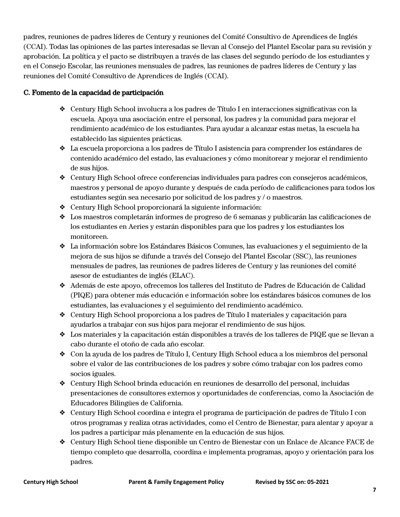padres, reuniones de padres líderes de Century y reuniones del Comité Consultivo de Aprendices de Inglés (CCAI). Todas las opiniones de las partes interesadas se llevan al Consejo del Plantel Escolar para su revisión y aprobación. La política y el pacto se distribuyen a través de las clases del segundo período de los estudiantes y en el Consejo Escolar, las reuniones mensuales de padres, las reuniones de padres líderes de Century y las reuniones del Comité Consultivo de Aprendices de Inglés (CCAI).

### C. Fomento de la capacidad de participación

- ❖ Century High School involucra a los padres de Título I en interacciones significativas con la escuela. Apoya una asociación entre el personal, los padres y la comunidad para mejorar el rendimiento académico de los estudiantes. Para ayudar a alcanzar estas metas, la escuela ha establecido las siguientes prácticas.
- ❖ La escuela proporciona a los padres de Título I asistencia para comprender los estándares de contenido académico del estado, las evaluaciones y cómo monitorear y mejorar el rendimiento de sus hijos.
- ❖ Century High School ofrece conferencias individuales para padres con consejeros académicos, maestros y personal de apoyo durante y después de cada período de calificaciones para todos los estudiantes según sea necesario por solicitud de los padres y / o maestros.
- ❖ Century High School proporcionará la siguiente información:
- ❖ Los maestros completarán informes de progreso de 6 semanas y publicarán las calificaciones de los estudiantes en Aeries y estarán disponibles para que los padres y los estudiantes los monitoreen.
- ❖ La información sobre los Estándares Básicos Comunes, las evaluaciones y el seguimiento de la mejora de sus hijos se difunde a través del Consejo del Plantel Escolar (SSC), las reuniones mensuales de padres, las reuniones de padres líderes de Century y las reuniones del comité asesor de estudiantes de inglés (ELAC).
- ❖ Además de este apoyo, ofrecemos los talleres del Instituto de Padres de Educación de Calidad (PIQE) para obtener más educación e información sobre los estándares básicos comunes de los estudiantes, las evaluaciones y el seguimiento del rendimiento académico.
- ❖ Century High School proporciona a los padres de Título I materiales y capacitación para ayudarlos a trabajar con sus hijos para mejorar el rendimiento de sus hijos.
- ❖ Los materiales y la capacitación están disponibles a través de los talleres de PIQE que se llevan a cabo durante el otoño de cada año escolar.
- ❖ Con la ayuda de los padres de Título I, Century High School educa a los miembros del personal sobre el valor de las contribuciones de los padres y sobre cómo trabajar con los padres como socios iguales.
- ❖ Century High School brinda educación en reuniones de desarrollo del personal, incluidas presentaciones de consultores externos y oportunidades de conferencias, como la Asociación de Educadores Bilingües de California.
- ❖ Century High School coordina e integra el programa de participación de padres de Título I con otros programas y realiza otras actividades, como el Centro de Bienestar, para alentar y apoyar a los padres a participar más plenamente en la educación de sus hijos.
- ❖ Century High School tiene disponible un Centro de Bienestar con un Enlace de Alcance FACE de tiempo completo que desarrolla, coordina e implementa programas, apoyo y orientación para los padres.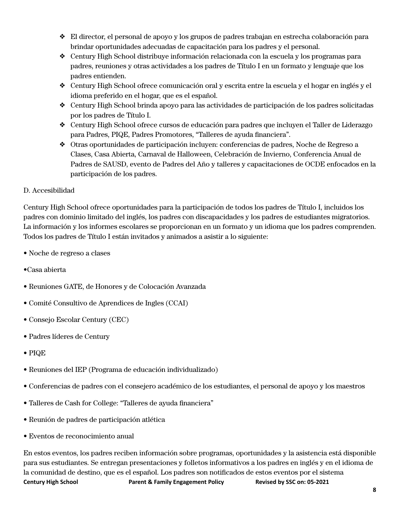- ❖ El director, el personal de apoyo y los grupos de padres trabajan en estrecha colaboración para brindar oportunidades adecuadas de capacitación para los padres y el personal.
- ❖ Century High School distribuye información relacionada con la escuela y los programas para padres, reuniones y otras actividades a los padres de Título I en un formato y lenguaje que los padres entienden.
- ❖ Century High School ofrece comunicación oral y escrita entre la escuela y el hogar en inglés y el idioma preferido en el hogar, que es el español.
- ❖ Century High School brinda apoyo para las actividades de participación de los padres solicitadas por los padres de Título I.
- ❖ Century High School ofrece cursos de educación para padres que incluyen el Taller de Liderazgo para Padres, PIQE, Padres Promotores, "Talleres de ayuda financiera".
- ❖ Otras oportunidades de participación incluyen: conferencias de padres, Noche de Regreso a Clases, Casa Abierta, Carnaval de Halloween, Celebración de Invierno, Conferencia Anual de Padres de SAUSD, evento de Padres del Año y talleres y capacitaciones de OCDE enfocados en la participación de los padres.

### D. Accesibilidad

Century High School ofrece oportunidades para la participación de todos los padres de Título I, incluidos los padres con dominio limitado del inglés, los padres con discapacidades y los padres de estudiantes migratorios. La información y los informes escolares se proporcionan en un formato y un idioma que los padres comprenden. Todos los padres de Título I están invitados y animados a asistir a lo siguiente:

- Noche de regreso a clases
- •Casa abierta
- Reuniones GATE, de Honores y de Colocación Avanzada
- Comité Consultivo de Aprendices de Ingles (CCAI)
- Consejo Escolar Century (CEC)
- Padres líderes de Century
- PIQE
- Reuniones del IEP (Programa de educación individualizado)
- Conferencias de padres con el consejero académico de los estudiantes, el personal de apoyo y los maestros
- Talleres de Cash for College: "Talleres de ayuda financiera"
- Reunión de padres de participación atlética
- Eventos de reconocimiento anual

En estos eventos, los padres reciben información sobre programas, oportunidades y la asistencia está disponible para sus estudiantes. Se entregan presentaciones y folletos informativos a los padres en inglés y en el idioma de la comunidad de destino, que es el español. Los padres son notificados de estos eventos por el sistema **Century High School Parent & Family Engagement Policy Revised by SSC on: 05-2021**